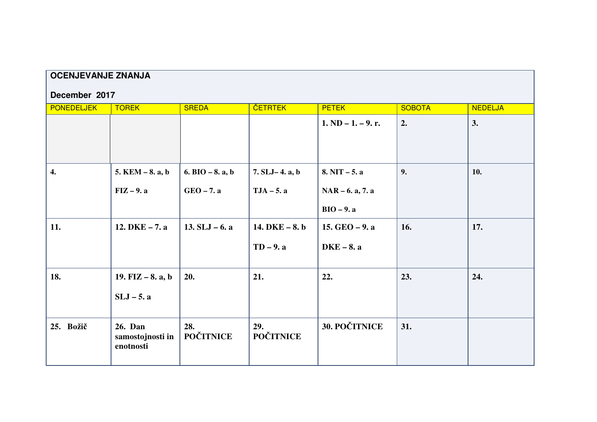| <b>OCENJEVANJE ZNANJA</b> |                                                 |                         |                         |                                    |               |                |  |  |  |  |  |
|---------------------------|-------------------------------------------------|-------------------------|-------------------------|------------------------------------|---------------|----------------|--|--|--|--|--|
| December 2017             |                                                 |                         |                         |                                    |               |                |  |  |  |  |  |
| <b>PONEDELJEK</b>         | <b>TOREK</b>                                    | <b>SREDA</b>            | <b>ČETRTEK</b>          | <b>PETEK</b>                       | <b>SOBOTA</b> | <b>NEDELJA</b> |  |  |  |  |  |
|                           |                                                 |                         |                         | $1. \text{ND} - 1. - 9.$ r.        | 2.            | 3.             |  |  |  |  |  |
| $\overline{4}$ .          | $5.$ KEM $-8.$ a, b                             | 6. BIO $-8$ . a, b      | $7. SLJ - 4. a, b$      | $8. NIT - 5. a$                    | 9.            | 10.            |  |  |  |  |  |
|                           | $FIZ - 9.$ a                                    | $GEO - 7.$ a            | $TJA - 5. a$            | $NAR - 6. a, 7. a$<br>$BIO - 9. a$ |               |                |  |  |  |  |  |
| 11.                       | 12. DKE $-7. a$                                 | 13. $SLJ - 6$ . a       | 14. $DKE - 8. b$        | 15. $GEO - 9.$ a                   | 16.           | 17.            |  |  |  |  |  |
|                           |                                                 |                         | $TD-9. a$               | $DKE - 8. a$                       |               |                |  |  |  |  |  |
| 18.                       | 19. FIZ $-8$ . a, b                             | 20.                     | 21.                     | 22.                                | 23.           | 24.            |  |  |  |  |  |
|                           | $SLJ - 5$ . a                                   |                         |                         |                                    |               |                |  |  |  |  |  |
| 25. Božič                 | <b>26. Dan</b><br>samostojnosti in<br>enotnosti | 28.<br><b>POČITNICE</b> | 29.<br><b>POČITNICE</b> | <b>30. POČITNICE</b>               | 31.           |                |  |  |  |  |  |